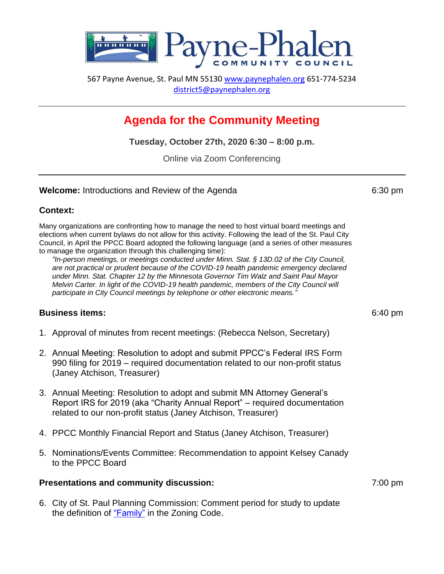

567 Payne Avenue, St. Paul MN 55130 [www.paynephalen.org](http://www.paynephalen.org/) 651-774-5234 [district5@paynephalen.org](mailto:district5@paynephalen.org)

# **Agenda for the Community Meeting**

**Tuesday, October 27th, 2020 6:30 – 8:00 p.m.**

Online via Zoom Conferencing

#### **Welcome:** Introductions and Review of the Agenda 6:30 pm

## **Context:**

Many organizations are confronting how to manage the need to host virtual board meetings and elections when current bylaws do not allow for this activity. Following the lead of the St. Paul City Council, in April the PPCC Board adopted the following language (and a series of other measures to manage the organization through this challenging time):

*"In-person meetings, or meetings conducted under Minn. Stat. § 13D.02 of the City Council, are not practical or prudent because of the COVID-19 health pandemic emergency declared under Minn. Stat. Chapter 12 by the Minnesota Governor Tim Walz and Saint Paul Mayor Melvin Carter. In light of the COVID-19 health pandemic, members of the City Council will participate in City Council meetings by telephone or other electronic means."*

## **Business items:** 6:40 pm

- 1. Approval of minutes from recent meetings: (Rebecca Nelson, Secretary)
- 2. Annual Meeting: Resolution to adopt and submit PPCC's Federal IRS Form 990 filing for 2019 – required documentation related to our non-profit status (Janey Atchison, Treasurer)
- 3. Annual Meeting: Resolution to adopt and submit MN Attorney General's Report IRS for 2019 (aka "Charity Annual Report" – required documentation related to our non-profit status (Janey Atchison, Treasurer)
- 4. PPCC Monthly Financial Report and Status (Janey Atchison, Treasurer)
- 5. Nominations/Events Committee: Recommendation to appoint Kelsey Canady to the PPCC Board

#### **Presentations and community discussion:** 7:00 pm

6. City of St. Paul Planning Commission: Comment period for study to update the definition of ["Family"](https://www.stpaul.gov/sites/default/files/Media%20Root/Planning%20%26%20Economic%20Development/Family%20Definition%20-%20CNPC%20Packet%209.16.20.pdf) in the Zoning Code.